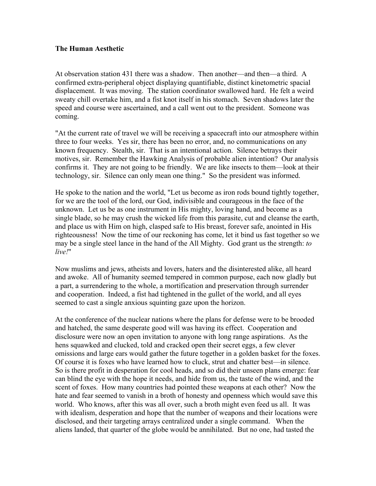## **The Human Aesthetic**

At observation station 431 there was a shadow. Then another––and then––a third. A confirmed extra-peripheral object displaying quantifiable, distinct kinetometric spacial displacement. It was moving. The station coordinator swallowed hard. He felt a weird sweaty chill overtake him, and a fist knot itself in his stomach. Seven shadows later the speed and course were ascertained, and a call went out to the president. Someone was coming.

"At the current rate of travel we will be receiving a spacecraft into our atmosphere within three to four weeks. Yes sir, there has been no error, and, no communications on any known frequency. Stealth, sir. That is an intentional action. Silence betrays their motives, sir. Remember the Hawking Analysis of probable alien intention? Our analysis confirms it. They are not going to be friendly. We are like insects to them––look at their technology, sir. Silence can only mean one thing." So the president was informed.

He spoke to the nation and the world, "Let us become as iron rods bound tightly together, for we are the tool of the lord, our God, indivisible and courageous in the face of the unknown. Let us be as one instrument in His mighty, loving hand, and become as a single blade, so he may crush the wicked life from this parasite, cut and cleanse the earth, and place us with Him on high, clasped safe to His breast, forever safe, anointed in His righteousness! Now the time of our reckoning has come, let it bind us fast together so we may be a single steel lance in the hand of the All Mighty. God grant us the strength: *to live!*"

Now muslims and jews, atheists and lovers, haters and the disinterested alike, all heard and awoke. All of humanity seemed tempered in common purpose, each now gladly but a part, a surrendering to the whole, a mortification and preservation through surrender and cooperation. Indeed, a fist had tightened in the gullet of the world, and all eyes seemed to cast a single anxious squinting gaze upon the horizon.

At the conference of the nuclear nations where the plans for defense were to be brooded and hatched, the same desperate good will was having its effect. Cooperation and disclosure were now an open invitation to anyone with long range aspirations. As the hens squawked and clucked, told and cracked open their secret eggs, a few clever omissions and large ears would gather the future together in a golden basket for the foxes. Of course it is foxes who have learned how to cluck, strut and chatter best––in silence. So is there profit in desperation for cool heads, and so did their unseen plans emerge: fear can blind the eye with the hope it needs, and hide from us, the taste of the wind, and the scent of foxes. How many countries had pointed these weapons at each other? Now the hate and fear seemed to vanish in a broth of honesty and openness which would save this world. Who knows, after this was all over, such a broth might even feed us all. It was with idealism, desperation and hope that the number of weapons and their locations were disclosed, and their targeting arrays centralized under a single command. When the aliens landed, that quarter of the globe would be annihilated. But no one, had tasted the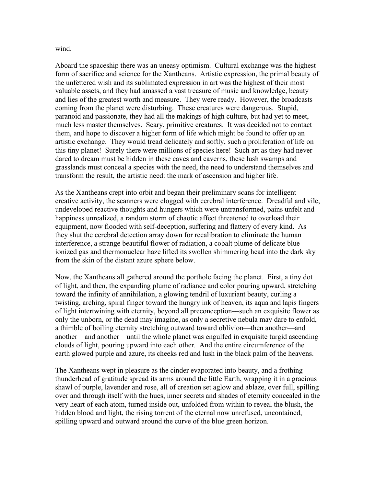wind.

Aboard the spaceship there was an uneasy optimism. Cultural exchange was the highest form of sacrifice and science for the Xantheans. Artistic expression, the primal beauty of the unfettered wish and its sublimated expression in art was the highest of their most valuable assets, and they had amassed a vast treasure of music and knowledge, beauty and lies of the greatest worth and measure. They were ready. However, the broadcasts coming from the planet were disturbing. These creatures were dangerous. Stupid, paranoid and passionate, they had all the makings of high culture, but had yet to meet, much less master themselves. Scary, primitive creatures. It was decided not to contact them, and hope to discover a higher form of life which might be found to offer up an artistic exchange. They would tread delicately and softly, such a proliferation of life on this tiny planet! Surely there were millions of species here! Such art as they had never dared to dream must be hidden in these caves and caverns, these lush swamps and grasslands must conceal a species with the need, the need to understand themselves and transform the result, the artistic need: the mark of ascension and higher life.

As the Xantheans crept into orbit and began their preliminary scans for intelligent creative activity, the scanners were clogged with cerebral interference. Dreadful and vile, undeveloped reactive thoughts and hungers which were untransformed, pains unfelt and happiness unrealized, a random storm of chaotic affect threatened to overload their equipment, now flooded with self-deception, suffering and flattery of every kind. As they shut the cerebral detection array down for recalibration to eliminate the human interference, a strange beautiful flower of radiation, a cobalt plume of delicate blue ionized gas and thermonuclear haze lifted its swollen shimmering head into the dark sky from the skin of the distant azure sphere below.

Now, the Xantheans all gathered around the porthole facing the planet. First, a tiny dot of light, and then, the expanding plume of radiance and color pouring upward, stretching toward the infinity of annihilation, a glowing tendril of luxuriant beauty, curling a twisting, arching, spiral finger toward the hungry ink of heaven, its aqua and lapis fingers of light intertwining with eternity, beyond all preconception––such an exquisite flower as only the unborn, or the dead may imagine, as only a secretive nebula may dare to enfold, a thimble of boiling eternity stretching outward toward oblivion––then another––and another––and another––until the whole planet was engulfed in exquisite turgid ascending clouds of light, pouring upward into each other. And the entire circumference of the earth glowed purple and azure, its cheeks red and lush in the black palm of the heavens.

The Xantheans wept in pleasure as the cinder evaporated into beauty, and a frothing thunderhead of gratitude spread its arms around the little Earth, wrapping it in a gracious shawl of purple, lavender and rose, all of creation set aglow and ablaze, over full, spilling over and through itself with the hues, inner secrets and shades of eternity concealed in the very heart of each atom, turned inside out, unfolded from within to reveal the blush, the hidden blood and light, the rising torrent of the eternal now unrefused, uncontained, spilling upward and outward around the curve of the blue green horizon.